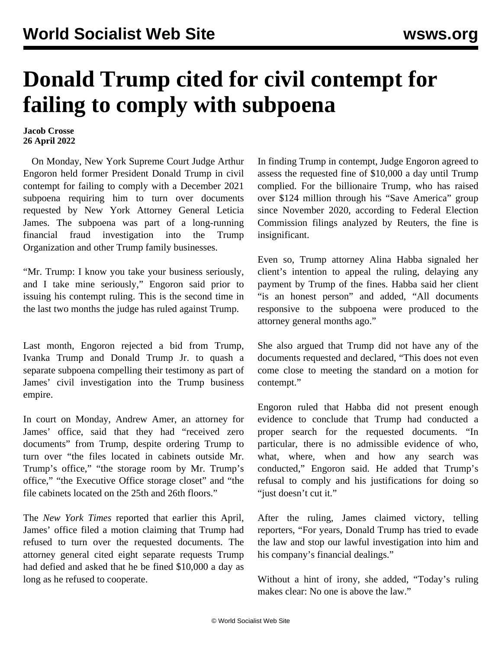## **Donald Trump cited for civil contempt for failing to comply with subpoena**

**Jacob Crosse 26 April 2022**

 On Monday, New York Supreme Court Judge Arthur Engoron held former President Donald Trump in civil contempt for failing to comply with a December 2021 subpoena requiring him to turn over documents requested by New York Attorney General Leticia James. The subpoena was part of a long-running financial fraud investigation into the Trump Organization and other Trump family businesses.

"Mr. Trump: I know you take your business seriously, and I take mine seriously," Engoron said prior to issuing his contempt ruling. This is the second time in the last two months the judge has ruled against Trump.

L[ast month,](/en/articles/2022/02/26/trum-f26.html) Engoron rejected a bid from Trump, Ivanka Trump and Donald Trump Jr. to quash a separate subpoena compelling their testimony as part of James' civil investigation into the Trump business empire.

In court on Monday, Andrew Amer, an attorney for James' office, said that they had "received zero documents" from Trump, despite ordering Trump to turn over "the files located in cabinets outside Mr. Trump's office," "the storage room by Mr. Trump's office," "the Executive Office storage closet" and "the file cabinets located on the 25th and 26th floors."

The *New York Times* reported that earlier this April, James' office filed a motion claiming that Trump had refused to turn over the requested documents. The attorney general cited eight separate requests Trump had defied and asked that he be fined \$10,000 a day as long as he refused to cooperate.

In finding Trump in contempt, Judge Engoron agreed to assess the requested fine of \$10,000 a day until Trump complied. For the billionaire Trump, who has raised over \$124 million through his "Save America" group since November 2020, according to Federal Election Commission filings analyzed by Reuters, the fine is insignificant.

Even so, Trump attorney Alina Habba signaled her client's intention to appeal the ruling, delaying any payment by Trump of the fines. Habba said her client "is an honest person" and added, "All documents responsive to the subpoena were produced to the attorney general months ago."

She also argued that Trump did not have any of the documents requested and declared, "This does not even come close to meeting the standard on a motion for contempt."

Engoron ruled that Habba did not present enough evidence to conclude that Trump had conducted a proper search for the requested documents. "In particular, there is no admissible evidence of who, what, where, when and how any search was conducted," Engoron said. He added that Trump's refusal to comply and his justifications for doing so "just doesn't cut it."

After the ruling, James claimed victory, telling reporters, "For years, Donald Trump has tried to evade the law and stop our lawful investigation into him and his company's financial dealings."

Without a hint of irony, she added, "Today's ruling makes clear: No one is above the law."